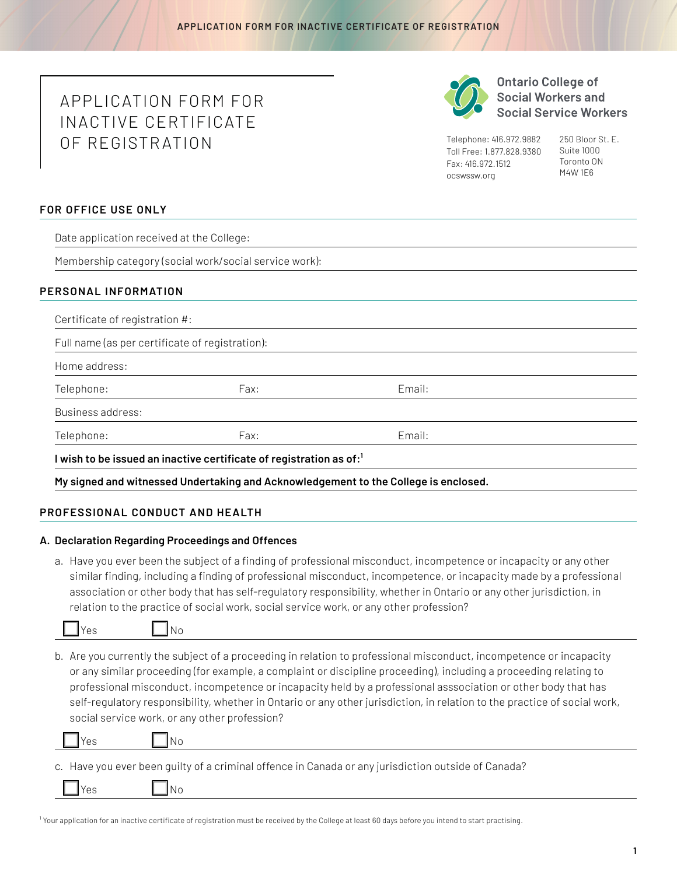# APPLICATION FORM FOR INACTIVE CERTIFICATE OF REGISTR ATION



**Ontario College of Social Workers and Social Service Workers** 

Telephone: 416.972.9882 Toll Free: 1.877.828.9380 Fax: 416.972.1512 [ocswssw.org](http://ocswssw.org)

250 Bloor St. E. Suite 1000 Toronto ON M4W 1E6

## **FOR OFFICE USE ONLY**

Date application received at the College:

Membership category (social work/social service work):

## **PERSONAL INFORMATION**

| Full name (as per certificate of registration): |      |        |  |
|-------------------------------------------------|------|--------|--|
| Home address:                                   |      |        |  |
| Telephone:                                      | Fax: | Email: |  |
| Business address:                               |      |        |  |
| Telephone:                                      | Fax: | Email: |  |

**My signed and witnessed Undertaking and Acknowledgement to the College is enclosed.**

## **PROFESSIONAL CONDUCT AND HEALTH**

#### **A. Declaration Regarding Proceedings and Offences**

a. Have you ever been the subject of a finding of professional misconduct, incompetence or incapacity or any other similar finding, including a finding of professional misconduct, incompetence, or incapacity made by a professional association or other body that has self-regulatory responsibility, whether in Ontario or any other jurisdiction, in relation to the practice of social work, social service work, or any other profession?



b. Are you currently the subject of a proceeding in relation to professional misconduct, incompetence or incapacity or any similar proceeding (for example, a complaint or discipline proceeding), including a proceeding relating to professional misconduct, incompetence or incapacity held by a professional asssociation or other body that has self-regulatory responsibility, whether in Ontario or any other jurisdiction, in relation to the practice of social work, social service work, or any other profession?

|  |  | ×<br>۰. |
|--|--|---------|
|  |  |         |

s INo

c. Have you ever been guilty of a criminal offence in Canada or any jurisdiction outside of Canada?

Yes **No** 

<sup>1</sup> Your application for an inactive certificate of registration must be received by the College at least 60 days before you intend to start practising.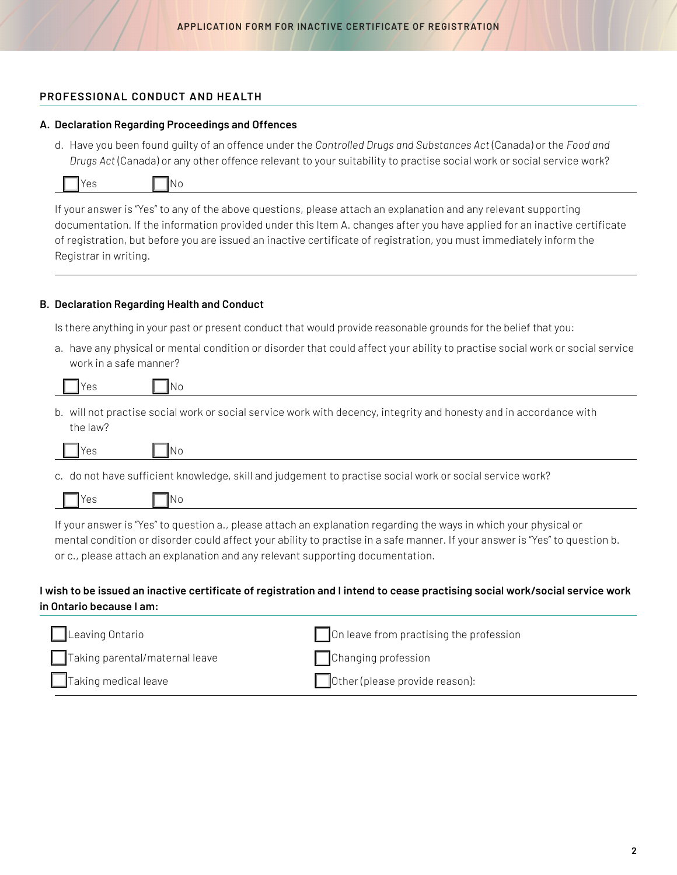## **PROFESSIONAL CONDUCT AND HEALTH**

## **A. Declaration Regarding Proceedings and Offences**

d. Have you been found guilty of an offence under the *Controlled Drugs and Substances Act* (Canada) or the *Food and Drugs Act* (Canada) or any other offence relevant to your suitability to practise social work or social service work?

| <b>T</b> Yes<br><b>No</b> |
|---------------------------|
|---------------------------|

If your answer is "Yes" to any of the above questions, please attach an explanation and any relevant supporting documentation. If the information provided under this Item A. changes after you have applied for an inactive certificate of registration, but before you are issued an inactive certificate of registration, you must immediately inform the Registrar in writing.

## **B. Declaration Regarding Health and Conduct**

Is there anything in your past or present conduct that would provide reasonable grounds for the belief that you:

a. have any physical or mental condition or disorder that could affect your ability to practise social work or social service work in a safe manner?

| $\mathbf{r}$ |  |  |  |
|--------------|--|--|--|
|              |  |  |  |

b. will not practise social work or social service work with decency, integrity and honesty and in accordance with the law?

c. do not have sufficient knowledge, skill and judgement to practise social work or social service work?

|  |  |  |  | ۱N۱. |
|--|--|--|--|------|
|--|--|--|--|------|

If your answer is "Yes" to question a., please attach an explanation regarding the ways in which your physical or mental condition or disorder could affect your ability to practise in a safe manner. If your answer is "Yes" to question b. or c., please attach an explanation and any relevant supporting documentation.

## **I wish to be issued an inactive certificate of registration and I intend to cease practising social work/social service work in Ontario because I am:**

| $\Box$ Leaving Ontario         | On leave from practising the profession |
|--------------------------------|-----------------------------------------|
| Taking parental/maternal leave | Changing profession                     |
| $\Box$ Taking medical leave    | Other (please provide reason):          |